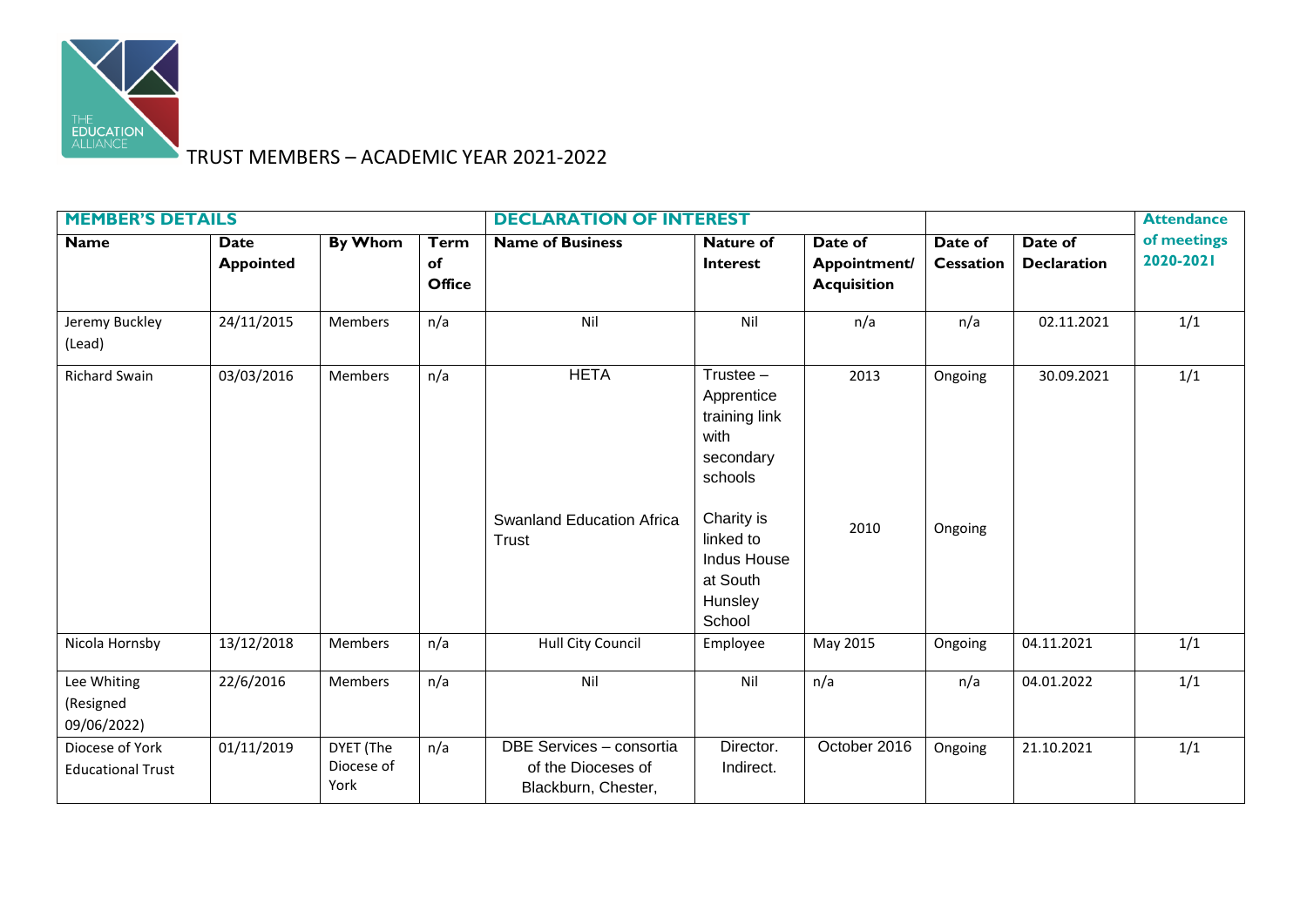

## TRUST MEMBERS – ACADEMIC YEAR 2021-2022

| <b>MEMBER'S DETAILS</b>                     |                          |                                 |                                    | <b>DECLARATION OF INTEREST</b>                                        |                                                                                                                                                       |                                               |                             |                               | <b>Attendance</b>        |
|---------------------------------------------|--------------------------|---------------------------------|------------------------------------|-----------------------------------------------------------------------|-------------------------------------------------------------------------------------------------------------------------------------------------------|-----------------------------------------------|-----------------------------|-------------------------------|--------------------------|
| <b>Name</b>                                 | Date<br><b>Appointed</b> | <b>By Whom</b>                  | <b>Term</b><br>of<br><b>Office</b> | <b>Name of Business</b>                                               | <b>Nature of</b><br><b>Interest</b>                                                                                                                   | Date of<br>Appointment/<br><b>Acquisition</b> | Date of<br><b>Cessation</b> | Date of<br><b>Declaration</b> | of meetings<br>2020-2021 |
| Jeremy Buckley<br>(Lead)                    | 24/11/2015               | Members                         | n/a                                | Nil                                                                   | Nil                                                                                                                                                   | n/a                                           | n/a                         | 02.11.2021                    | 1/1                      |
| <b>Richard Swain</b>                        | 03/03/2016               | Members                         | n/a                                | <b>HETA</b><br><b>Swanland Education Africa</b><br>Trust              | Trustee $-$<br>Apprentice<br>training link<br>with<br>secondary<br>schools<br>Charity is<br>linked to<br>Indus House<br>at South<br>Hunsley<br>School | 2013<br>2010                                  | Ongoing<br>Ongoing          | 30.09.2021                    | 1/1                      |
| Nicola Hornsby                              | 13/12/2018               | Members                         | n/a                                | Hull City Council                                                     | Employee                                                                                                                                              | May 2015                                      | Ongoing                     | 04.11.2021                    | 1/1                      |
| Lee Whiting<br>(Resigned<br>09/06/2022)     | 22/6/2016                | Members                         | n/a                                | Nil                                                                   | Nil                                                                                                                                                   | n/a                                           | n/a                         | 04.01.2022                    | 1/1                      |
| Diocese of York<br><b>Educational Trust</b> | 01/11/2019               | DYET (The<br>Diocese of<br>York | n/a                                | DBE Services - consortia<br>of the Dioceses of<br>Blackburn, Chester, | Director.<br>Indirect.                                                                                                                                | October 2016                                  | Ongoing                     | 21.10.2021                    | 1/1                      |